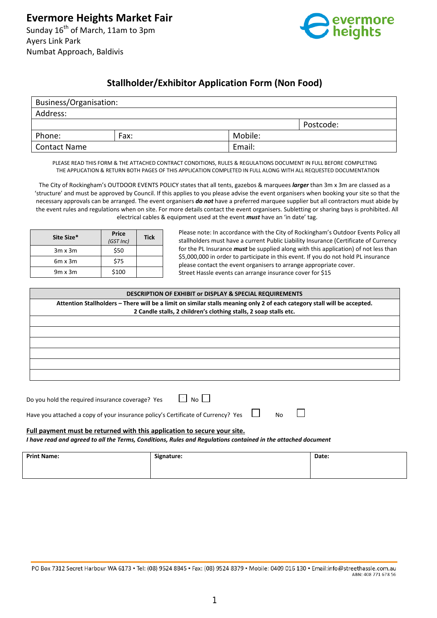

# **Stallholder/Exhibitor Application Form (Non Food)**

| Business/Organisation: |      |         |           |  |  |
|------------------------|------|---------|-----------|--|--|
| Address:               |      |         |           |  |  |
|                        |      |         | Postcode: |  |  |
| Phone:                 | Fax: | Mobile: |           |  |  |
| Contact Name           |      | Email:  |           |  |  |

PLEASE READ THIS FORM & THE ATTACHED CONTRACT CONDITIONS, RULES & REGULATIONS DOCUMENT IN FULL BEFORE COMPLETING THE APPLICATION & RETURN BOTH PAGES OF THIS APPLICATION COMPLETED IN FULL ALONG WITH ALL REQUESTED DOCUMENTATION

The City of Rockingham's OUTDOOR EVENTS POLICY states that all tents, gazebos & marquees *larger* than 3m x 3m are classed as a 'structure' and must be approved by Council. If this applies to you please advise the event organisers when booking your site so that the necessary approvals can be arranged. The event organisers *do not* have a preferred marquee supplier but all contractors must abide by the event rules and regulations when on site. For more details contact the event organisers. Subletting or sharing bays is prohibited. All electrical cables & equipment used at the event *must* have an 'in date' tag.

| Site Size*     | Price<br>(GSTInc) | <b>Tick</b> |
|----------------|-------------------|-------------|
| $3m \times 3m$ | \$50              |             |
| $6m \times 3m$ | \$75              |             |
| $9m \times 3m$ | \$100             |             |

Please note: In accordance with the City of Rockingham's Outdoor Events Policy all stallholders must have a current Public Liability Insurance (Certificate of Currency for the PL Insurance *must* be supplied along with this application) of not less than \$5,000,000 in order to participate in this event. If you do not hold PL insurance please contact the event organisers to arrange appropriate cover. Street Hassle events can arrange insurance cover for \$15

 $\Box$ 

#### **DESCRIPTION OF EXHIBIT or DISPLAY & SPECIAL REQUIREMENTS**

**Attention Stallholders – There will be a limit on similar stalls meaning only 2 of each category stall will be accepted. 2 Candle stalls, 2 children's clothing stalls, 2 soap stalls etc.**

Do you hold the required insurance coverage? Yes  $\Box$  No  $\Box$ 

Have you attached a copy of your insurance policy's Certificate of Currency? Yes  $\Box$  No

#### **Full payment must be returned with this application to secure your site.**

*I have read and agreed to all the Terms, Conditions, Rules and Regulations contained in the attached document*

| <b>Print Name:</b> | Signature: | Date: |
|--------------------|------------|-------|
|                    |            |       |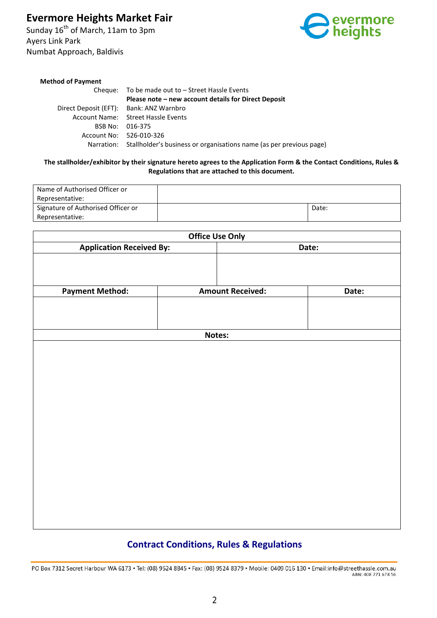# **Evermore Heights Market Fair**

Sunday 16<sup>th</sup> of March, 11am to 3pm Ayers Link Park Numbat Approach, Baldivis



#### **Method of Payment**

Cheque: To be made out to – Street Hassle Events **Please note – new account details for Direct Deposit** Direct Deposit (EFT): Bank: ANZ Warnbro Account Name: Street Hassle Events BSB No: 016-375 Account No: 526-010-326 Narration: Stallholder's business or organisations name (as per previous page)

#### **The stallholder/exhibitor by their signature hereto agrees to the Application Form & the Contact Conditions, Rules & Regulations that are attached to this document.**

| Name of Authorised Officer or      |       |
|------------------------------------|-------|
| Representative:                    |       |
| Signature of Authorised Officer or | Date: |
| Representative:                    |       |

|                                 |  | <b>Office Use Only</b>  |       |  |
|---------------------------------|--|-------------------------|-------|--|
| <b>Application Received By:</b> |  | Date:                   |       |  |
|                                 |  |                         |       |  |
| <b>Payment Method:</b>          |  | <b>Amount Received:</b> | Date: |  |
|                                 |  |                         |       |  |
|                                 |  |                         |       |  |
| Notes:                          |  |                         |       |  |
|                                 |  |                         |       |  |
|                                 |  |                         |       |  |

# **Contract Conditions, Rules & Regulations**

PO Box 7312 Secret Harbour WA 6173 · Tel: (08) 9524 8845 · Fax: (08) 9524 8379 · Mobile: 0409 016 130 · Email:info@streethassle.com.au ABN: 408 771 678 56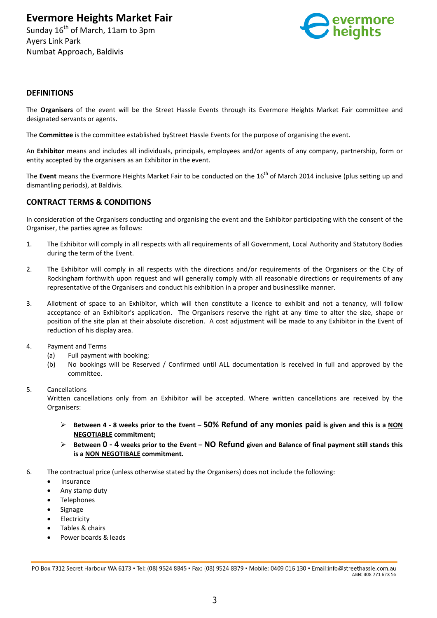**Evermore Heights Market Fair**

Sunday 16<sup>th</sup> of March, 11am to 3pm Ayers Link Park Numbat Approach, Baldivis



### **DEFINITIONS**

The **Organisers** of the event will be the Street Hassle Events through its Evermore Heights Market Fair committee and designated servants or agents.

The **Committee** is the committee established byStreet Hassle Events for the purpose of organising the event.

An **Exhibitor** means and includes all individuals, principals, employees and/or agents of any company, partnership, form or entity accepted by the organisers as an Exhibitor in the event.

The Event means the Evermore Heights Market Fair to be conducted on the 16<sup>th</sup> of March 2014 inclusive (plus setting up and dismantling periods), at Baldivis.

## **CONTRACT TERMS & CONDITIONS**

In consideration of the Organisers conducting and organising the event and the Exhibitor participating with the consent of the Organiser, the parties agree as follows:

- 1. The Exhibitor will comply in all respects with all requirements of all Government, Local Authority and Statutory Bodies during the term of the Event.
- 2. The Exhibitor will comply in all respects with the directions and/or requirements of the Organisers or the City of Rockingham forthwith upon request and will generally comply with all reasonable directions or requirements of any representative of the Organisers and conduct his exhibition in a proper and businesslike manner.
- 3. Allotment of space to an Exhibitor, which will then constitute a licence to exhibit and not a tenancy, will follow acceptance of an Exhibitor's application. The Organisers reserve the right at any time to alter the size, shape or position of the site plan at their absolute discretion. A cost adjustment will be made to any Exhibitor in the Event of reduction of his display area.
- 4. Payment and Terms
	- (a) Full payment with booking;
	- (b) No bookings will be Reserved / Confirmed until ALL documentation is received in full and approved by the committee.
- 5. Cancellations

Written cancellations only from an Exhibitor will be accepted. Where written cancellations are received by the Organisers:

- **Between 4 - 8 weeks prior to the Event – 50% Refund of any monies paid is given and this is a NON NEGOTIABLE commitment;**
- **Between 0 - 4 weeks prior to the Event – NO Refund given and Balance of final payment still stands this is a NON NEGOTIBALE commitment.**
- 6. The contractual price (unless otherwise stated by the Organisers) does not include the following:
	- **Insurance**
	- Any stamp duty
	- **Telephones**
	- **Signage**
	- **Electricity**
	- Tables & chairs
	- Power boards & leads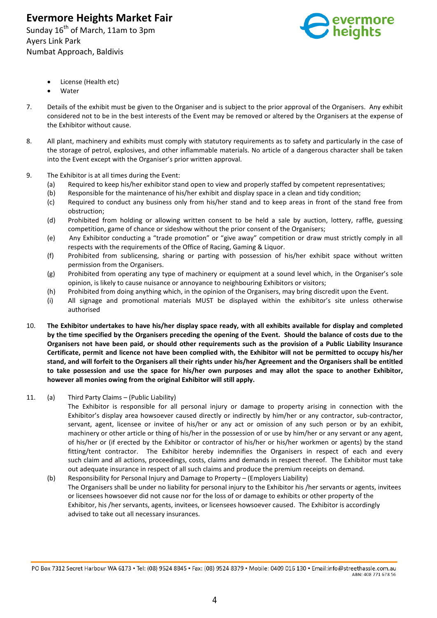Sunday 16<sup>th</sup> of March, 11am to 3pm Ayers Link Park Numbat Approach, Baldivis



- License (Health etc)
- **Water**
- 7. Details of the exhibit must be given to the Organiser and is subject to the prior approval of the Organisers. Any exhibit considered not to be in the best interests of the Event may be removed or altered by the Organisers at the expense of the Exhibitor without cause.
- 8. All plant, machinery and exhibits must comply with statutory requirements as to safety and particularly in the case of the storage of petrol, explosives, and other inflammable materials. No article of a dangerous character shall be taken into the Event except with the Organiser's prior written approval.
- 9. The Exhibitor is at all times during the Event:
	- (a) Required to keep his/her exhibitor stand open to view and properly staffed by competent representatives;
	- (b) Responsible for the maintenance of his/her exhibit and display space in a clean and tidy condition;
	- (c) Required to conduct any business only from his/her stand and to keep areas in front of the stand free from obstruction;
	- (d) Prohibited from holding or allowing written consent to be held a sale by auction, lottery, raffle, guessing competition, game of chance or sideshow without the prior consent of the Organisers;
	- (e) Any Exhibitor conducting a "trade promotion" or "give away" competition or draw must strictly comply in all respects with the requirements of the Office of Racing, Gaming & Liquor.
	- (f) Prohibited from sublicensing, sharing or parting with possession of his/her exhibit space without written permission from the Organisers.
	- (g) Prohibited from operating any type of machinery or equipment at a sound level which, in the Organiser's sole opinion, is likely to cause nuisance or annoyance to neighbouring Exhibitors or visitors;
	- (h) Prohibited from doing anything which, in the opinion of the Organisers, may bring discredit upon the Event.
	- (i) All signage and promotional materials MUST be displayed within the exhibitor's site unless otherwise authorised
- 10. **The Exhibitor undertakes to have his/her display space ready, with all exhibits available for display and completed by the time specified by the Organisers preceding the opening of the Event. Should the balance of costs due to the Organisers not have been paid, or should other requirements such as the provision of a Public Liability Insurance Certificate, permit and licence not have been complied with, the Exhibitor will not be permitted to occupy his/her stand, and will forfeit to the Organisers all their rights under his/her Agreement and the Organisers shall be entitled to take possession and use the space for his/her own purposes and may allot the space to another Exhibitor, however all monies owing from the original Exhibitor will still apply.**
- 11. (a) Third Party Claims (Public Liability)

The Exhibitor is responsible for all personal injury or damage to property arising in connection with the Exhibitor's display area howsoever caused directly or indirectly by him/her or any contractor, sub-contractor, servant, agent, licensee or invitee of his/her or any act or omission of any such person or by an exhibit, machinery or other article or thing of his/her in the possession of or use by him/her or any servant or any agent, of his/her or (if erected by the Exhibitor or contractor of his/her or his/her workmen or agents) by the stand fitting/tent contractor. The Exhibitor hereby indemnifies the Organisers in respect of each and every such claim and all actions, proceedings, costs, claims and demands in respect thereof. The Exhibitor must take out adequate insurance in respect of all such claims and produce the premium receipts on demand.

(b) Responsibility for Personal Injury and Damage to Property – (Employers Liability) The Organisers shall be under no liability for personal injury to the Exhibitor his /her servants or agents, invitees or licensees howsoever did not cause nor for the loss of or damage to exhibits or other property of the Exhibitor, his /her servants, agents, invitees, or licensees howsoever caused. The Exhibitor is accordingly advised to take out all necessary insurances.

PO Box 7312 Secret Harbour WA 6173 · Tel: (08) 9524 8845 · Fax: (08) 9524 8379 · Mobile: 0409 016 130 · Email:info@streethassle.com.au ABN: 408 771 678 56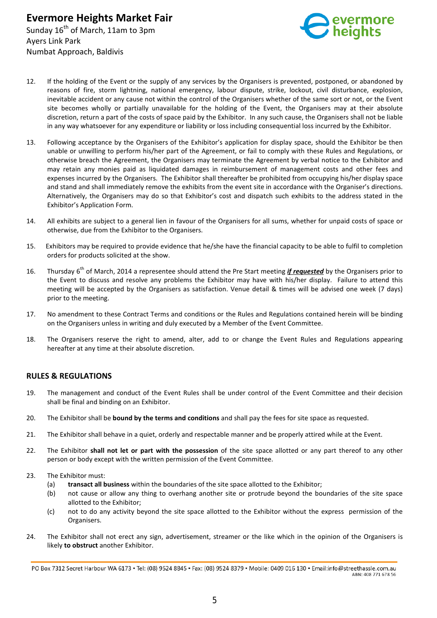

- 12. If the holding of the Event or the supply of any services by the Organisers is prevented, postponed, or abandoned by reasons of fire, storm lightning, national emergency, labour dispute, strike, lockout, civil disturbance, explosion, inevitable accident or any cause not within the control of the Organisers whether of the same sort or not, or the Event site becomes wholly or partially unavailable for the holding of the Event, the Organisers may at their absolute discretion, return a part of the costs of space paid by the Exhibitor. In any such cause, the Organisers shall not be liable in any way whatsoever for any expenditure or liability or loss including consequential loss incurred by the Exhibitor.
- 13. Following acceptance by the Organisers of the Exhibitor's application for display space, should the Exhibitor be then unable or unwilling to perform his/her part of the Agreement, or fail to comply with these Rules and Regulations, or otherwise breach the Agreement, the Organisers may terminate the Agreement by verbal notice to the Exhibitor and may retain any monies paid as liquidated damages in reimbursement of management costs and other fees and expenses incurred by the Organisers. The Exhibitor shall thereafter be prohibited from occupying his/her display space and stand and shall immediately remove the exhibits from the event site in accordance with the Organiser's directions. Alternatively, the Organisers may do so that Exhibitor's cost and dispatch such exhibits to the address stated in the Exhibitor's Application Form.
- 14. All exhibits are subject to a general lien in favour of the Organisers for all sums, whether for unpaid costs of space or otherwise, due from the Exhibitor to the Organisers.
- 15. Exhibitors may be required to provide evidence that he/she have the financial capacity to be able to fulfil to completion orders for products solicited at the show.
- 16. Thursday 6<sup>th</sup> of March, 2014 a representee should attend the Pre Start meeting *if requested* by the Organisers prior to the Event to discuss and resolve any problems the Exhibitor may have with his/her display. Failure to attend this meeting will be accepted by the Organisers as satisfaction. Venue detail & times will be advised one week (7 days) prior to the meeting.
- 17. No amendment to these Contract Terms and conditions or the Rules and Regulations contained herein will be binding on the Organisers unless in writing and duly executed by a Member of the Event Committee.
- 18. The Organisers reserve the right to amend, alter, add to or change the Event Rules and Regulations appearing hereafter at any time at their absolute discretion.

## **RULES & REGULATIONS**

- 19. The management and conduct of the Event Rules shall be under control of the Event Committee and their decision shall be final and binding on an Exhibitor.
- 20. The Exhibitor shall be **bound by the terms and conditions** and shall pay the fees for site space as requested.
- 21. The Exhibitor shall behave in a quiet, orderly and respectable manner and be properly attired while at the Event.
- 22. The Exhibitor **shall not let or part with the possession** of the site space allotted or any part thereof to any other person or body except with the written permission of the Event Committee.
- 23. The Exhibitor must:
	- (a) **transact all business** within the boundaries of the site space allotted to the Exhibitor;
	- (b) not cause or allow any thing to overhang another site or protrude beyond the boundaries of the site space allotted to the Exhibitor;
	- (c) not to do any activity beyond the site space allotted to the Exhibitor without the express permission of the Organisers.
- 24. The Exhibitor shall not erect any sign, advertisement, streamer or the like which in the opinion of the Organisers is likely **to obstruct** another Exhibitor.

PO Box 7312 Secret Harbour WA 6173 · Tel: (08) 9524 8845 · Fax: (08) 9524 8379 · Mobile: 0409 016 130 · Email:info@streethassle.com.au ABN: 408 771 678 56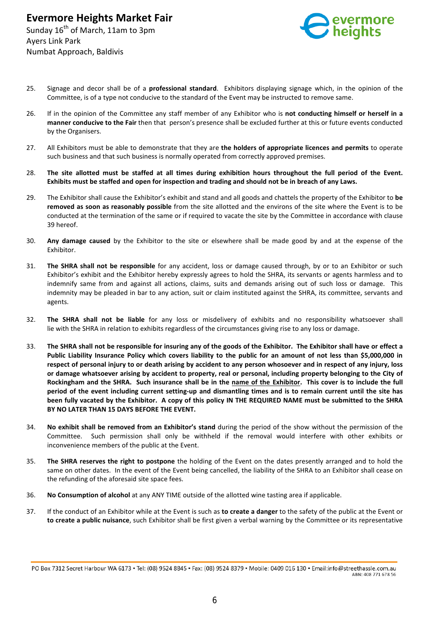

- 25. Signage and decor shall be of a **professional standard**. Exhibitors displaying signage which, in the opinion of the Committee, is of a type not conducive to the standard of the Event may be instructed to remove same.
- 26. If in the opinion of the Committee any staff member of any Exhibitor who is **not conducting himself or herself in a manner conducive to the Fair** then that person's presence shall be excluded further at this or future events conducted by the Organisers.
- 27. All Exhibitors must be able to demonstrate that they are **the holders of appropriate licences and permits** to operate such business and that such business is normally operated from correctly approved premises.
- 28. **The site allotted must be staffed at all times during exhibition hours throughout the full period of the Event. Exhibits must be staffed and open for inspection and trading and should not be in breach of any Laws.**
- 29. The Exhibitor shall cause the Exhibitor's exhibit and stand and all goods and chattels the property of the Exhibitor to **be removed as soon as reasonably possible** from the site allotted and the environs of the site where the Event is to be conducted at the termination of the same or if required to vacate the site by the Committee in accordance with clause 39 hereof.
- 30. **Any damage caused** by the Exhibitor to the site or elsewhere shall be made good by and at the expense of the Exhibitor.
- 31. **The SHRA shall not be responsible** for any accident, loss or damage caused through, by or to an Exhibitor or such Exhibitor's exhibit and the Exhibitor hereby expressly agrees to hold the SHRA, its servants or agents harmless and to indemnify same from and against all actions, claims, suits and demands arising out of such loss or damage. This indemnity may be pleaded in bar to any action, suit or claim instituted against the SHRA, its committee, servants and agents.
- 32. **The SHRA shall not be liable** for any loss or misdelivery of exhibits and no responsibility whatsoever shall lie with the SHRA in relation to exhibits regardless of the circumstances giving rise to any loss or damage.
- 33. **The SHRA shall not be responsible for insuring any of the goods of the Exhibitor. The Exhibitor shall have or effect a Public Liability Insurance Policy which covers liability to the public for an amount of not less than \$5,000,000 in respect of personal injury to or death arising by accident to any person whosoever and in respect of any injury, loss or damage whatsoever arising by accident to property, real or personal, including property belonging to the City of Rockingham and the SHRA. Such insurance shall be in the name of the Exhibitor. This cover is to include the full period of the event including current setting-up and dismantling times and is to remain current until the site has been fully vacated by the Exhibitor. A copy of this policy IN THE REQUIRED NAME must be submitted to the SHRA BY NO LATER THAN 15 DAYS BEFORE THE EVENT.**
- 34. **No exhibit shall be removed from an Exhibitor's stand** during the period of the show without the permission of the Committee. Such permission shall only be withheld if the removal would interfere with other exhibits or inconvenience members of the public at the Event.
- 35. **The SHRA reserves the right to postpone** the holding of the Event on the dates presently arranged and to hold the same on other dates. In the event of the Event being cancelled, the liability of the SHRA to an Exhibitor shall cease on the refunding of the aforesaid site space fees.
- 36. **No Consumption of alcohol** at any ANY TIME outside of the allotted wine tasting area if applicable.
- 37. If the conduct of an Exhibitor while at the Event is such as **to create a danger** to the safety of the public at the Event or **to create a public nuisance**, such Exhibitor shall be first given a verbal warning by the Committee or its representative

PO Box 7312 Secret Harbour WA 6173 · Tel: (08) 9524 8845 · Fax: (08) 9524 8379 · Mobile: 0409 016 130 · Email:info@streethassle.com.au ABN: 408 771 678 56